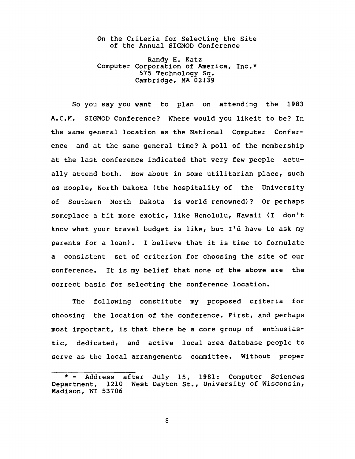On the Criteria for Selecting the Site of the Annual SIGMOD Conference

Randy H. Katz Computer Corporation of America, Inc.\* 575 Technology Sq. Cambridge, MA 02139

So you say you want to plan on attending the 1983 A.C.M. SIGMOD Conference? Where would you likeit to be? In the same general location as the National Computer Conference and at the same general time? A poll of the membership at the last conference indicated that very few people actually attend both. How about in some utilitarian place, such as Hoople, North Dakota (the hospitality of the University of Southern North Dakota is world renowned)? Or perhaps someplace a bit more exotic, like Honolulu, Hawaii (I don't know what your travel budget is like, but I'd have to ask my parents for a loan). I believe that it is time to formulate a consistent set of criterion for choosing the site of our conference. It is my belief that none of the above are the correct basis for selecting the conference location.

The following constitute my proposed criteria for choosing the location of the conference. First, and perhaps most important, is that there be a core group of enthusiastic, dedicated, and active local area database people to serve as the local arrangements committee. Without proper

8

Address after July 15, 1981: Computer Sciences Department, 1210 West Dayton St., University of Wisconsin, Madison, WI 53706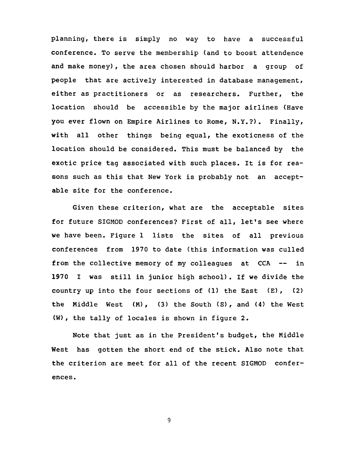planning, there is simply no way to have a successful conference. To serve the membership (and to boost attendence and make money), the area chosen should harbor a group of people that are actively interested in database management, either as practitioners or as researchers. Further, the location should be accessible by the major airlines (Have you ever flown on Empire Airlines to Rome, N.Y.?). Finally, with all other things being equal, the exoticness of the location should be considered. This must be balanced by the exotic price tag associated with such places. It is for reasons such as this that New York is probably not an acceptable site for the conference.

Given these criterion, what are the acceptable sites for future SIGMOD conferences? First of all, let's see where we have been. Figure 1 lists the sites of all previous conferences from 1970 to date (this information was culled from the collective memory of my colleagues at CCA -- in 1970 I was still in junior high school). If we divide the country up into the four sections of  $(1)$  the East  $(E)$ ,  $(2)$ the Middle West (M), (3) the South (S), and (4) the West (W), the tally of locales is shown in figure 2.

Note that just as in the President's budget, the Middle West has gotten the short end of the stick. Also note that the criterion are meet for all of the recent SIGMOD conferences.

9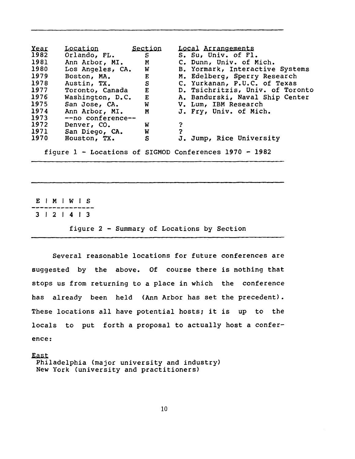| Year                                                   | Location                            | Section      | Local Arrangements               |
|--------------------------------------------------------|-------------------------------------|--------------|----------------------------------|
| 1982                                                   | Orlando, FL.                        | S            | S. Su, Univ. of Fl.              |
| 1981                                                   | Ann Arbor, MI. M                    |              | C. Dunn, Univ. of Mich.          |
| 1980                                                   | Los Angeles, CA.                    | <b>W</b>     | B. Yormark, Interactive Systems  |
| 1979                                                   | Boston, MA.                         | $\mathbf{E}$ | M. Edelberg, Sperry Research     |
| 1978                                                   | Austin, TX.                         |              | S C. Yurkanan, P.U.C. of Texas   |
| 1977                                                   | Toronto, Canada E                   |              | D. Tsichritzis, Univ. of Toronto |
| 1976                                                   | Washington, D.C. E                  |              | A. Bandurski, Naval Ship Center  |
| 1975                                                   | San Jose, CA.                       | $\mathbf w$  | V. Lum, IBM Research             |
| 1974                                                   | Ann Arbor, MI. M                    |              | J. Fry, Univ. of Mich.           |
| 1973                                                   | --no conference--                   |              |                                  |
| 1972                                                   | Denver, CO.                         | W            |                                  |
| 1971                                                   | San Diego, CA.<br><b>Example 19</b> |              |                                  |
| 1970                                                   | Houston, TX.                        | S            | J. Jump, Rice University         |
| figure 1 - Locations of SIGMOD Conferences 1970 - 1982 |                                     |              |                                  |

E | M | W | S 3 I 2 I 4 I 3

figure 2 - Summary of Locations by Section

Several reasonable locations for future conferences are suggested by the above. Of course there is nothing that stops us from returning to a place in which the conference has already been held (Ann Arbor has set the precedent). These locations all have potential hosts; it is up to the locals to put forth a proposal to actually host a conference:

East Philadelphia (major university and industry) New York (university and practitioners)